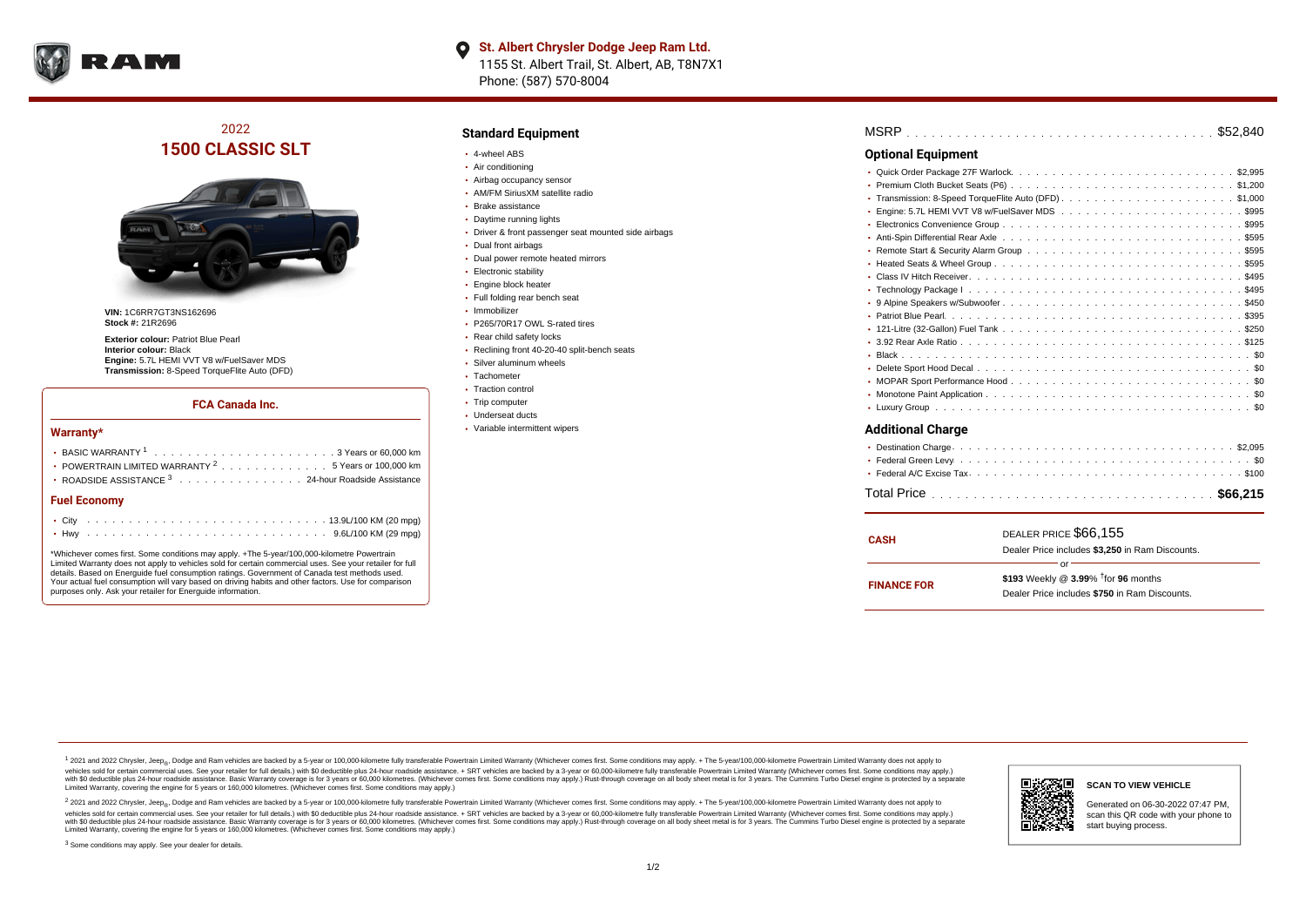

# 2022 **1500 CLASSIC SLT**



**VIN:** 1C6RR7GT3NS162696 **Stock #:** 21R2696

**Exterior colour:** Patriot Blue Pearl **Interior colour:** Black **Engine:** 5.7L HEMI VVT V8 w/FuelSaver MDS **Transmission:** 8-Speed TorqueFlite Auto (DFD)

#### **FCA Canada Inc.**

#### **Warranty\***

| POWERTRAIN LIMITED WARRANTY $2, \ldots, \ldots, \ldots, \ldots, 5$ Years or 100,000 km |  |  |  |  |  |  |  |  |  |  |  |  |  |  |  |
|----------------------------------------------------------------------------------------|--|--|--|--|--|--|--|--|--|--|--|--|--|--|--|
| • ROADSIDE ASSISTANCE 3 24-hour Roadside Assistance                                    |  |  |  |  |  |  |  |  |  |  |  |  |  |  |  |
| <b>Fuel Economy</b>                                                                    |  |  |  |  |  |  |  |  |  |  |  |  |  |  |  |
|                                                                                        |  |  |  |  |  |  |  |  |  |  |  |  |  |  |  |
|                                                                                        |  |  |  |  |  |  |  |  |  |  |  |  |  |  |  |

\*Whichever comes first. Some conditions may apply. +The 5-year/100,000-kilometre Powertrain Limited Warranty does not apply to vehicles sold for certain commercial uses. See your retailer for full details. Based on Energuide fuel consumption ratings. Government of Canada test methods used. Your actual fuel consumption will vary based on driving habits and other factors. Use for comparison purposes only. Ask your retailer for Energuide information.

#### **Standard Equipment**

- 4-wheel ABS
- Air conditioning
- Airbag occupancy sensor
- AM/FM SiriusXM satellite radio
- Brake assistance
- Daytime running lights
- Driver & front passenger seat mounted side airbags
- Dual front airbags
- Dual power remote heated mirrors
- **Electronic stability**
- **Engine block heater**
- Full folding rear bench seat
- Immobilizer
- P265/70R17 OWL S-rated tires
- Rear child safety locks
- Reclining front 40-20-40 split-bench seats
- Silver aluminum wheels
- Tachometer
- Traction control
- Trip computer
- Underseat ducts
- Variable intermittent wipers

| <b>Optional Equipment</b> |
|---------------------------|
|                           |
|                           |
|                           |
|                           |
|                           |
|                           |
|                           |
|                           |
|                           |
|                           |
|                           |
|                           |
|                           |
|                           |
|                           |
|                           |
|                           |
|                           |
|                           |

## **Additional Charge**

| CASH               | DEALER PRICE \$66.155<br>Dealer Price includes \$3.250 in Ram Discounts.                                  |
|--------------------|-----------------------------------------------------------------------------------------------------------|
| <b>FINANCE FOR</b> | Ωr<br>\$193 Weekly @ $3.99\%$ <sup>†</sup> for 96 months<br>Dealer Price includes \$750 in Ram Discounts. |

1 2021 and 2022 Chrysler, Jeep<sub>en</sub> Dodge and Ram vehicles are backed by a 5-year or 100,000-kilometre fully transferable Powertrain Limited Warranty (Whichever comes first. Some conditions may apply. + The 5-year/100,000-k vehicles sold for certain commercial uses. See your retailer for full details.) with \$0 deductible plus 24-hour roadside assistance. + SRT vehicles are backed by a 3-year or 60,000-kilometre fully transferable Powertrain L versus and contract the mean of the contract of the contract with a contract with a contract the contract of the search of the contract and a control of the contract and contract and control of the search of the search of Limited Warranty, covering the engine for 5 years or 160,000 kilometres. (Whichever comes first. Some conditions may apply.)

<sup>2</sup> 2021 and 2022 Chrysler, Jeep<sub>®</sub>, Dodge and Ram vehicles are backed by a 5-year or 100,000-kilometre fully transferable Powertrain Limited Warranty (Whichever comes first. Some conditions may apply. + The 5-year/100,000 vehicles sold for certain commercial uses. See your retailer for full details.) with SO deductible plus 24-hour roadside assistance. + SRT vehicles are backed by a 3-year or 60.000-kilometre fully transferable Powertrain L with S0 deductible plus 24-hour roadside assistance. Basic Warranty coverage is for 3 years or 60,000 kilometres. (Whichever comes first. Some conditions may apply.) Rust-through coverage on all body sheet metal is for 3 y



**SCAN TO VIEW VEHICLE**

Generated on 06-30-2022 07:47 PM, scan this QR code with your phone to start buying process.

<sup>3</sup> Some conditions may apply. See your dealer for details.